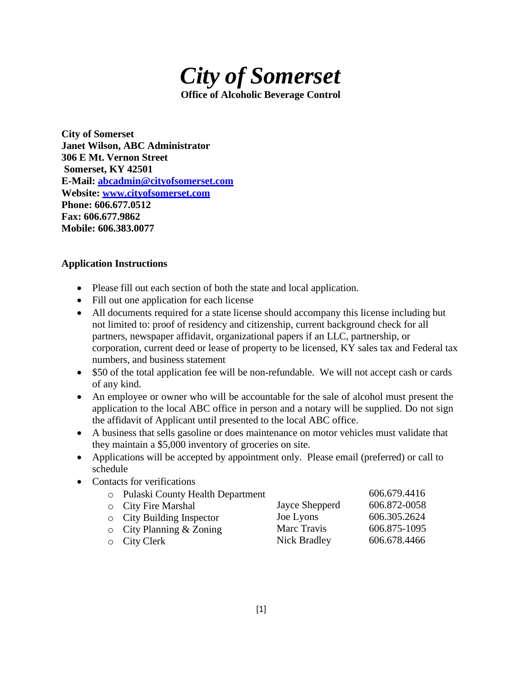

**City of Somerset Janet Wilson, ABC Administrator 306 E Mt. Vernon Street Somerset, KY 42501 E-Mail: [abcadmin@cityofsomerset.com](mailto:abcadmin@cityofsomerset.com) Website: [www.cityofsomerset.com](http://www.cityofsomerset.com/) Phone: 606.677.0512 Fax: 606.677.9862 Mobile: 606.383.0077**

# **Application Instructions**

- Please fill out each section of both the state and local application.
- Fill out one application for each license
- All documents required for a state license should accompany this license including but not limited to: proof of residency and citizenship, current background check for all partners, newspaper affidavit, organizational papers if an LLC, partnership, or corporation, current deed or lease of property to be licensed, KY sales tax and Federal tax numbers, and business statement
- \$50 of the total application fee will be non-refundable. We will not accept cash or cards of any kind.
- An employee or owner who will be accountable for the sale of alcohol must present the application to the local ABC office in person and a notary will be supplied. Do not sign the affidavit of Applicant until presented to the local ABC office.
- A business that sells gasoline or does maintenance on motor vehicles must validate that they maintain a \$5,000 inventory of groceries on site.
- Applications will be accepted by appointment only. Please email (preferred) or call to schedule
- Contacts for verifications
	- o Pulaski County Health Department 606.679.4416

| $\circ$ City Fire Marshal       | Jayce Shepperd | 606.872-0058 |
|---------------------------------|----------------|--------------|
| $\circ$ City Building Inspector | Joe Lyons      | 606.305.2624 |
| $\circ$ City Planning & Zoning  | Marc Travis    | 606.875-1095 |
| $\circ$ City Clerk              | Nick Bradley   | 606.678.4466 |

[1]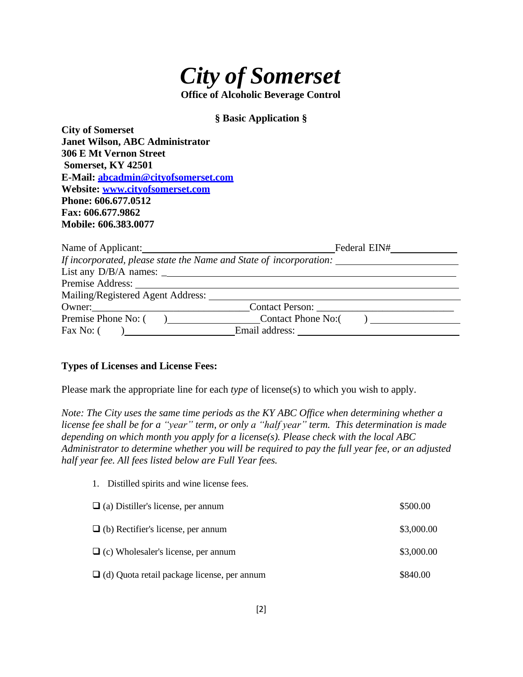

**§ Basic Application §**

**City of Somerset Janet Wilson, ABC Administrator 306 E Mt Vernon Street Somerset, KY 42501 E-Mail: [abcadmin@cityofsomerset.com](mailto:abcadmin@cityofsomerset.com) Website: [www.cityofsomerset.com](http://www.cityofsomerset.com/) Phone: 606.677.0512 Fax: 606.677.9862 Mobile: 606.383.0077**

| Name of Applicant:                                                 | Federal EIN# |
|--------------------------------------------------------------------|--------------|
| If incorporated, please state the Name and State of incorporation: |              |
|                                                                    |              |
|                                                                    |              |
| Mailing/Registered Agent Address:                                  |              |
| Owner: Contact Person: Contact Person:                             |              |
| Premise Phone No: () Contact Phone No: ()                          |              |
| Email address:<br>Fax No: $($                                      |              |

#### **Types of Licenses and License Fees:**

1. Distilled spirits and wine license fees.

Please mark the appropriate line for each *type* of license(s) to which you wish to apply.

*Note: The City uses the same time periods as the KY ABC Office when determining whether a license fee shall be for a "year" term, or only a "half year" term. This determination is made depending on which month you apply for a license(s). Please check with the local ABC Administrator to determine whether you will be required to pay the full year fee, or an adjusted half year fee. All fees listed below are Full Year fees.*

| $\Box$ (a) Distiller's license, per annum          | \$500.00   |
|----------------------------------------------------|------------|
| $\Box$ (b) Rectifier's license, per annum          | \$3,000.00 |
| $\Box$ (c) Wholesaler's license, per annum         | \$3,000.00 |
| $\Box$ (d) Quota retail package license, per annum | \$840.00   |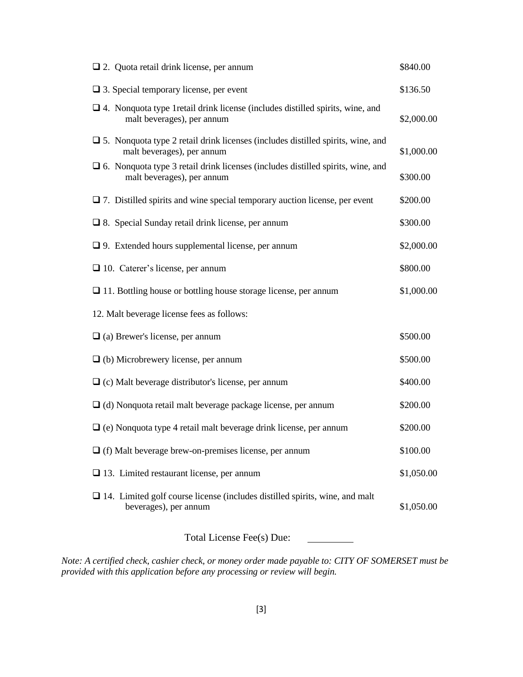| $\Box$ 2. Quota retail drink license, per annum                                                                         | \$840.00   |
|-------------------------------------------------------------------------------------------------------------------------|------------|
| $\Box$ 3. Special temporary license, per event                                                                          | \$136.50   |
| $\Box$ 4. Nonquota type 1 retail drink license (includes distilled spirits, wine, and<br>malt beverages), per annum     | \$2,000.00 |
| $\square$ 5. Nonquota type 2 retail drink licenses (includes distilled spirits, wine, and<br>malt beverages), per annum | \$1,000.00 |
| $\Box$ 6. Nonquota type 3 retail drink licenses (includes distilled spirits, wine, and<br>malt beverages), per annum    | \$300.00   |
| $\Box$ 7. Distilled spirits and wine special temporary auction license, per event                                       | \$200.00   |
| $\Box$ 8. Special Sunday retail drink license, per annum                                                                | \$300.00   |
| $\Box$ 9. Extended hours supplemental license, per annum                                                                | \$2,000.00 |
| $\Box$ 10. Caterer's license, per annum                                                                                 | \$800.00   |
| $\Box$ 11. Bottling house or bottling house storage license, per annum                                                  | \$1,000.00 |
| 12. Malt beverage license fees as follows:                                                                              |            |
| $\Box$ (a) Brewer's license, per annum                                                                                  | \$500.00   |
| $\Box$ (b) Microbrewery license, per annum                                                                              | \$500.00   |
| $\Box$ (c) Malt beverage distributor's license, per annum                                                               | \$400.00   |
| $\Box$ (d) Nonquota retail malt beverage package license, per annum                                                     | \$200.00   |
| $\Box$ (e) Nonquota type 4 retail malt beverage drink license, per annum                                                | \$200.00   |
| $\Box$ (f) Malt beverage brew-on-premises license, per annum                                                            | \$100.00   |
| $\Box$ 13. Limited restaurant license, per annum                                                                        | \$1,050.00 |
| $\Box$ 14. Limited golf course license (includes distilled spirits, wine, and malt<br>beverages), per annum             | \$1,050.00 |
|                                                                                                                         |            |

Total License Fee(s) Due:

*Note: A certified check, cashier check, or money order made payable to: CITY OF SOMERSET must be provided with this application before any processing or review will begin.*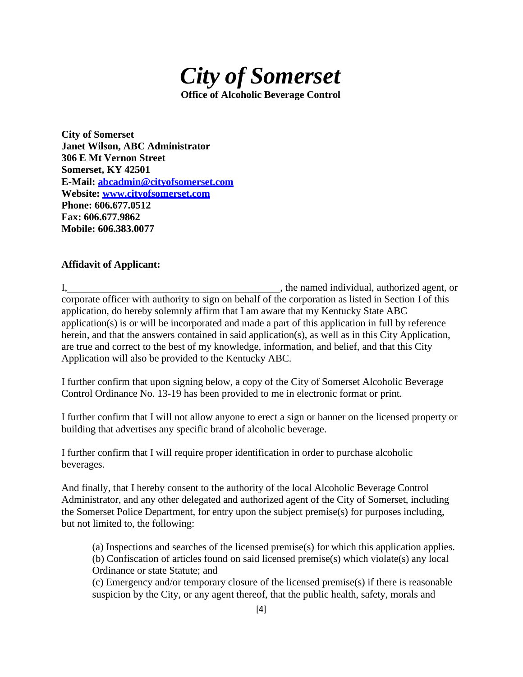

**City of Somerset Janet Wilson, ABC Administrator 306 E Mt Vernon Street Somerset, KY 42501 E-Mail: [abcadmin@cityofsomerset.com](mailto:abcadmin@cityofsomerset.com) Website: [www.cityofsomerset.com](http://www.cityofsomerset.com/) Phone: 606.677.0512 Fax: 606.677.9862 Mobile: 606.383.0077**

# **Affidavit of Applicant:**

I, the named individual, authorized agent, or corporate officer with authority to sign on behalf of the corporation as listed in Section I of this application, do hereby solemnly affirm that I am aware that my Kentucky State ABC application(s) is or will be incorporated and made a part of this application in full by reference herein, and that the answers contained in said application(s), as well as in this City Application, are true and correct to the best of my knowledge, information, and belief, and that this City Application will also be provided to the Kentucky ABC.

I further confirm that upon signing below, a copy of the City of Somerset Alcoholic Beverage Control Ordinance No. 13-19 has been provided to me in electronic format or print.

I further confirm that I will not allow anyone to erect a sign or banner on the licensed property or building that advertises any specific brand of alcoholic beverage.

I further confirm that I will require proper identification in order to purchase alcoholic beverages.

And finally, that I hereby consent to the authority of the local Alcoholic Beverage Control Administrator, and any other delegated and authorized agent of the City of Somerset, including the Somerset Police Department, for entry upon the subject premise(s) for purposes including, but not limited to, the following:

(a) Inspections and searches of the licensed premise(s) for which this application applies. (b) Confiscation of articles found on said licensed premise(s) which violate(s) any local Ordinance or state Statute; and

(c) Emergency and/or temporary closure of the licensed premise(s) if there is reasonable suspicion by the City, or any agent thereof, that the public health, safety, morals and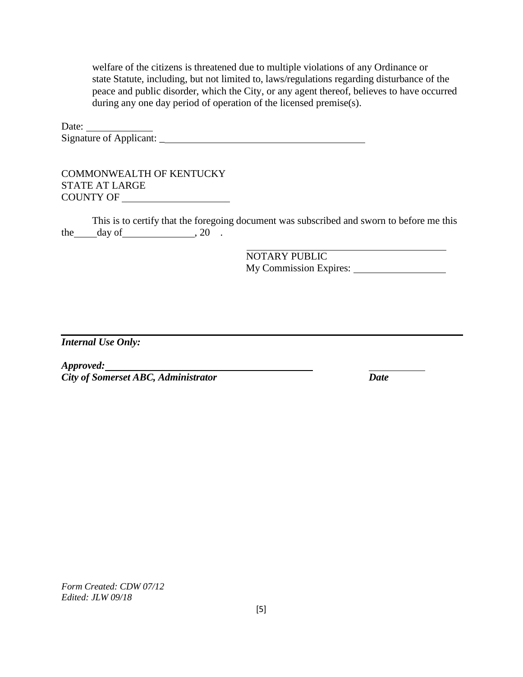welfare of the citizens is threatened due to multiple violations of any Ordinance or state Statute, including, but not limited to, laws/regulations regarding disturbance of the peace and public disorder, which the City, or any agent thereof, believes to have occurred during any one day period of operation of the licensed premise(s).

Date: Signature of Applicant: \_

COMMONWEALTH OF KENTUCKY STATE AT LARGE COUNTY OF

This is to certify that the foregoing document was subscribed and sworn to before me this the  $\_\$ {day \ of  $\_\_\_$ , 20  $\_\_$ 

> NOTARY PUBLIC My Commission Expires:

*Internal Use Only:*

*Approved: City of Somerset ABC, Administrator Date*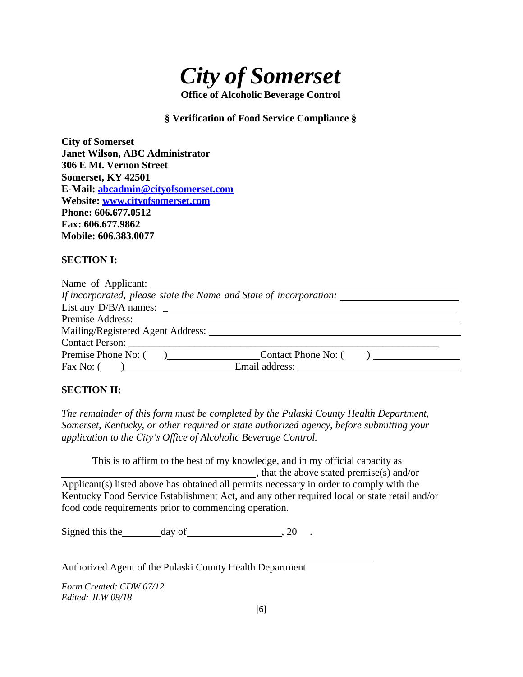

### **§ Verification of Food Service Compliance §**

**City of Somerset Janet Wilson, ABC Administrator 306 E Mt. Vernon Street Somerset, KY 42501 E-Mail: [abcadmin@cityofsomerset.com](mailto:abcadmin@cityofsomerset.com) Website: [www.cityofsomerset.com](http://www.cityofsomerset.com/) Phone: 606.677.0512 Fax: 606.677.9862 Mobile: 606.383.0077**

#### **SECTION I:**

| If incorporated, please state the Name and State of incorporation: |                       |  |
|--------------------------------------------------------------------|-----------------------|--|
|                                                                    |                       |  |
|                                                                    |                       |  |
| Mailing/Registered Agent Address:                                  |                       |  |
| Contact Person:                                                    |                       |  |
| Premise Phone No: (                                                | a Contact Phone No: ( |  |
| Fax No: $($ $)$                                                    |                       |  |

### **SECTION II:**

*The remainder of this form must be completed by the Pulaski County Health Department, Somerset, Kentucky, or other required or state authorized agency, before submitting your application to the City's Office of Alcoholic Beverage Control.*

This is to affirm to the best of my knowledge, and in my official capacity as , that the above stated premise(s) and/or Applicant(s) listed above has obtained all permits necessary in order to comply with the Kentucky Food Service Establishment Act, and any other required local or state retail and/or food code requirements prior to commencing operation.

Signed this the day of , 20 .

Authorized Agent of the Pulaski County Health Department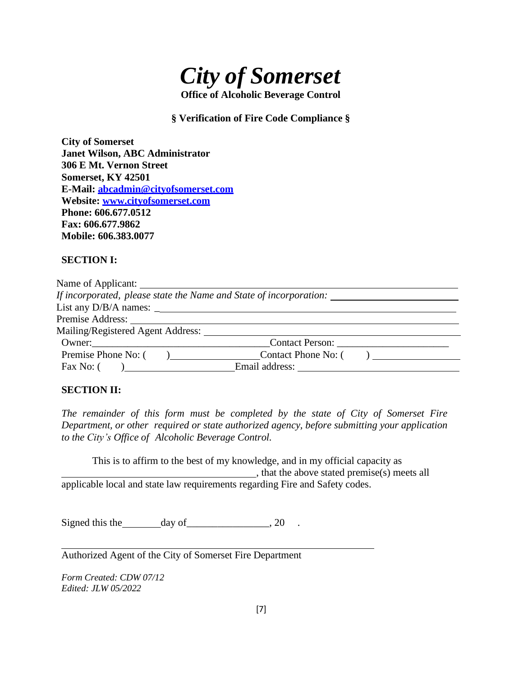

### **§ Verification of Fire Code Compliance §**

**City of Somerset Janet Wilson, ABC Administrator 306 E Mt. Vernon Street Somerset, KY 42501 E-Mail: [abcadmin@cityofsomerset.com](mailto:abcadmin@cityofsomerset.com) Website: [www.cityofsomerset.com](http://www.cityofsomerset.com/) Phone: 606.677.0512 Fax: 606.677.9862 Mobile: 606.383.0077**

# **SECTION I:**

| If incorporated, please state the Name and State of incorporation: _____________ |                         |  |
|----------------------------------------------------------------------------------|-------------------------|--|
| List any $D/B/A$ names: $\_\_$                                                   |                         |  |
|                                                                                  |                         |  |
| Mailing/Registered Agent Address:                                                |                         |  |
| Owner:                                                                           | Contact Person:         |  |
| Premise Phone No: (                                                              | (a) Contact Phone No: ( |  |
| Fax No: (                                                                        |                         |  |

# **SECTION II:**

*The remainder of this form must be completed by the state of City of Somerset Fire Department, or other required or state authorized agency, before submitting your application to the City's Office of Alcoholic Beverage Control.*

This is to affirm to the best of my knowledge, and in my official capacity as , that the above stated premise(s) meets all applicable local and state law requirements regarding Fire and Safety codes.

Signed this the day of  $\frac{1}{2}$  .

Authorized Agent of the City of Somerset Fire Department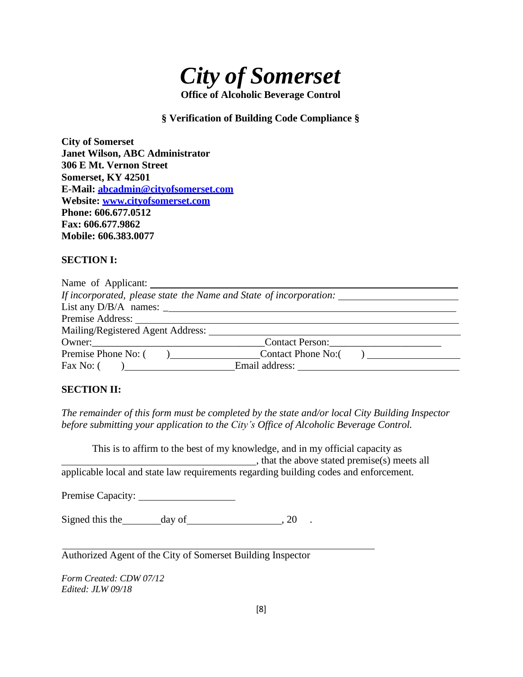

### **§ Verification of Building Code Compliance §**

**City of Somerset Janet Wilson, ABC Administrator 306 E Mt. Vernon Street Somerset, KY 42501 E-Mail: [abcadmin@cityofsomerset.com](mailto:abcadmin@cityofsomerset.com) Website: [www.cityofsomerset.com](http://www.cityofsomerset.com/) Phone: 606.677.0512 Fax: 606.677.9862 Mobile: 606.383.0077**

#### **SECTION I:**

| Name of Applicant:                                                 |                     |  |
|--------------------------------------------------------------------|---------------------|--|
| If incorporated, please state the Name and State of incorporation: |                     |  |
| List any $D/B/A$ names: $\frac{1}{2}$                              |                     |  |
|                                                                    |                     |  |
| Mailing/Registered Agent Address:                                  |                     |  |
| $0$ wner: $\_\_$                                                   | Contact Person:     |  |
| Premise Phone No: (<br>$\overline{a}$                              | Contact Phone No: ( |  |
| Fax No: $($ )                                                      |                     |  |

# **SECTION II:**

*The remainder of this form must be completed by the state and/or local City Building Inspector before submitting your application to the City's Office of Alcoholic Beverage Control.*

This is to affirm to the best of my knowledge, and in my official capacity as , that the above stated premise(s) meets all applicable local and state law requirements regarding building codes and enforcement.

Premise Capacity:

Signed this the day of , 20 .

Authorized Agent of the City of Somerset Building Inspector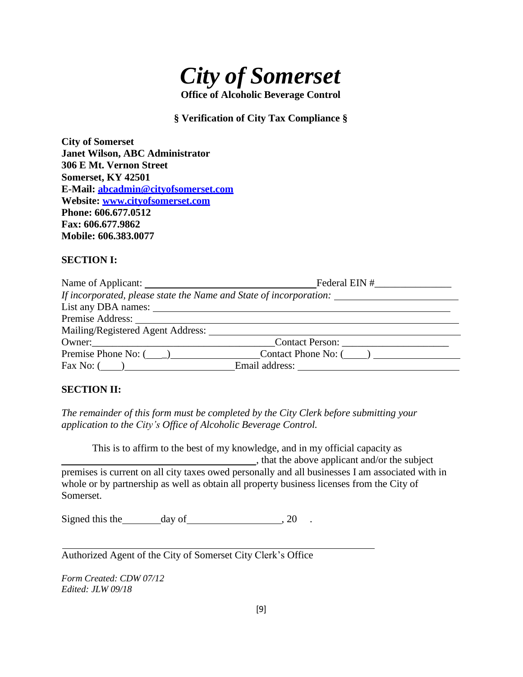

# **§ Verification of City Tax Compliance §**

**City of Somerset Janet Wilson, ABC Administrator 306 E Mt. Vernon Street Somerset, KY 42501 E-Mail: [abcadmin@cityofsomerset.com](mailto:abcadmin@cityofsomerset.com) Website: [www.cityofsomerset.com](http://www.cityofsomerset.com/) Phone: 606.677.0512 Fax: 606.677.9862 Mobile: 606.383.0077**

# **SECTION I:**

|                                  | If incorporated, please state the Name and State of incorporation:                                              |
|----------------------------------|-----------------------------------------------------------------------------------------------------------------|
|                                  |                                                                                                                 |
|                                  |                                                                                                                 |
|                                  |                                                                                                                 |
|                                  | Owner: Contact Person:                                                                                          |
|                                  | Premise Phone No: $\begin{pmatrix} 0 & 1 \end{pmatrix}$ Contact Phone No: $\begin{pmatrix} 0 & 1 \end{pmatrix}$ |
| $\text{Fax No: } (\_\_\_\_\_\_\$ |                                                                                                                 |

### **SECTION II:**

*The remainder of this form must be completed by the City Clerk before submitting your application to the City's Office of Alcoholic Beverage Control.*

This is to affirm to the best of my knowledge, and in my official capacity as , that the above applicant and/or the subject premises is current on all city taxes owed personally and all businesses I am associated with in whole or by partnership as well as obtain all property business licenses from the City of Somerset.

Signed this the day of 3.20 .

Authorized Agent of the City of Somerset City Clerk's Office